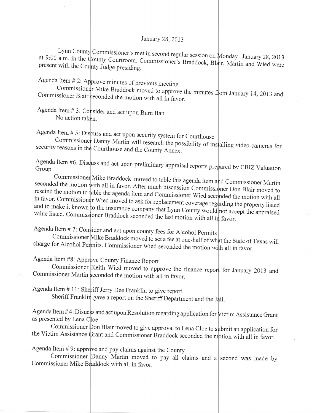## January 28,2013

Lynn County Commissioner's met in second regular session on Monday, January 28, 2013 at 9:00 a.m. in the County Courtroom. Commissioner's Braddock  $\overline{D}$  Monday, January 28, 2013 present with the County Judge presiding. Commissioner's met in second regular session on<br>ounty Courtroom. Commissioner's Braddock, Bl

Agenda Item  $\#$  2: Approve minutes of previous meeting

Commissioner Blair seconded the motion with all in favor. Mike Braddock moved to approve the minutes from January 14, 2013 and conded the motion with all  $\dot{x}$ .

Agenda Item # 3: Co sider and act upon Bum Ban No action taken.

Agenda Item # 5: Discuss and act upon security system for Courthouse

Commi security reasons in the Courthouse and the County Annex. Danny Martin will research the possibility of installing video cameras for

Agenda Item #6: Discuss and act upon preliminary appraisal reports prepared by CBIZ Valuation Group

Commissio seconded the motion with all in favor. After much discussion Commissioner Don Blair moved to<br>rescind the motion to table the agenda item and Gaugh is the commissioner Don Blair moved to rescind the motion to table the agenda item and Commissioner Wied seconded the motion with all<br>in favor. Commissioner Wied moved to sels fagges! in favor. Commissioner Wied moved to ask for replacement coverage regarding the property listed<br>and to make it known to the insurance company that  $\bar{K}$ and to make it known to the insurance company that Lynn County would not accept the appraised<br>value listed Commissioner Braddeab assessed in the line Mike Braddock moved to table this agenda item and Commissioner Martin value listed. Commissioner Braddock seconded the last motion with all in favor.

Agenda Item  $# 7$ : Consider and act upon county fees for Alcohol Permits

Commissioner Mike Braddock moved to set a fee at one-half of wh charge for Alcohol Permits. Commissioner Wied seconded the motion with all in favor.

Agenda Item #8: Approve County Finance Report

Commissioner Keith Wied moved to approve the finance report for January 2013 and Commissioner Martin seconded the motion with all in favor.

Agenda Item  $# 11$ : Sheriff Jerry Dee Franklin to give report

Sheriff Franklin gave a report on the Sheriff Department and the Jail.

Agenda Item #4: Disucss and act upon Resolution regarding application for Victim Assistance Grant as presented by Lena

Commissioner Don Blair moved to give approval to Lena Cloe to submit an application for the Victim Assistance Grant and Commissioner Braddock seconded the motion with all in favor.

Agenda Item  $# 9$ : approve and pay claims against the County

Commissioner Danny Martin moved to pay all claims and a second was made by Commissioner Mike Braddock with all in favor.